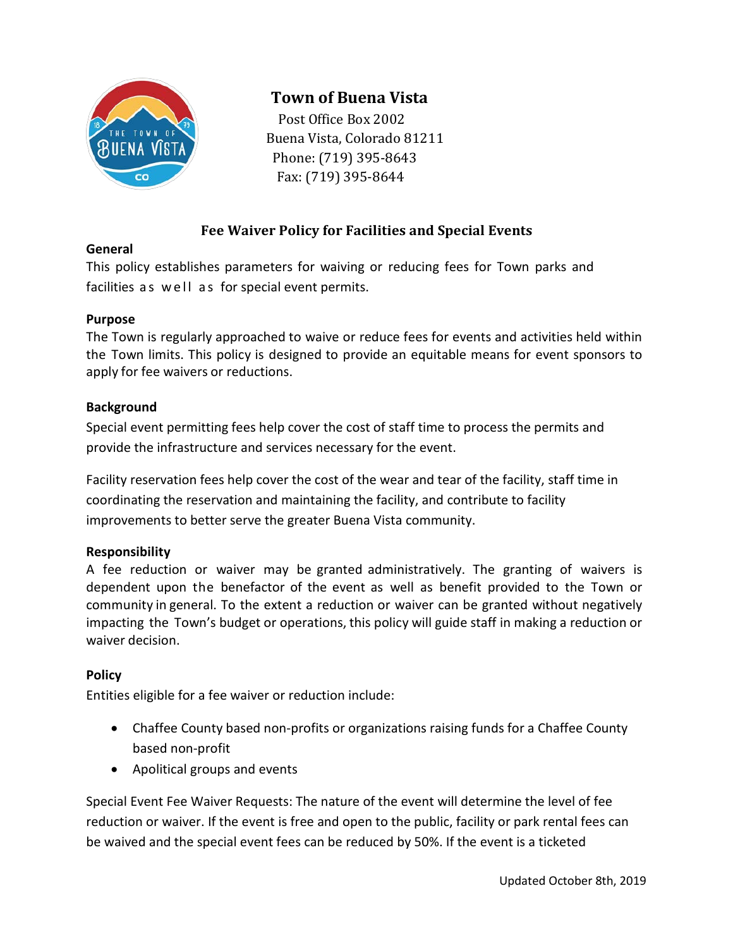

# **Town of Buena Vista**

Post Office Box 2002 Buena Vista, Colorado 81211 Phone: (719) 395-8643 Fax: (719) 395-8644

# **Fee Waiver Policy for Facilities and Special Events**

#### **General**

This policy establishes parameters for waiving or reducing fees for Town parks and facilities as well as for special event permits.

# **Purpose**

The Town is regularly approached to waive or reduce fees for events and activities held within the Town limits. This policy is designed to provide an equitable means for event sponsors to apply for fee waivers or reductions.

#### **Background**

Special event permitting fees help cover the cost of staff time to process the permits and provide the infrastructure and services necessary for the event.

Facility reservation fees help cover the cost of the wear and tear of the facility, staff time in coordinating the reservation and maintaining the facility, and contribute to facility improvements to better serve the greater Buena Vista community.

# **Responsibility**

A fee reduction or waiver may be granted administratively. The granting of waivers is dependent upon the benefactor of the event as well as benefit provided to the Town or community in general. To the extent a reduction or waiver can be granted without negatively impacting the Town's budget or operations, this policy will guide staff in making a reduction or waiver decision.

# **Policy**

Entities eligible for a fee waiver or reduction include:

- Chaffee County based non-profits or organizations raising funds for a Chaffee County based non-profit
- Apolitical groups and events

Special Event Fee Waiver Requests: The nature of the event will determine the level of fee reduction or waiver. If the event is free and open to the public, facility or park rental fees can be waived and the special event fees can be reduced by 50%. If the event is a ticketed